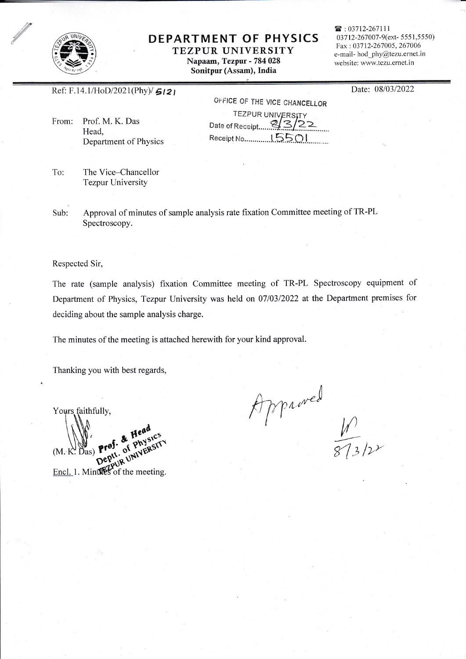

### DEPARTMENT OF PHYSICS

TEZPUR UNIVERSITY Napaam, Tezpur - 784 028 Sonitpur (Assam), India

雷: 03712-267111 03712-267007-9(ext-5551,5550) Fax: 03712-267005, 267006 e-mail- hod\_phy@tezu.ernet.in website: www.tezu.ernet.in

Date: 08/03/2022

Ref: F.14.1/HoD/2021(Phy)/ $5121$ 

Prof. M. K. Das From: Head. Department of Physics

OFFICE OF THE VICE CHANCELLOR **TEZPUR UNIVERSITY** Date of Receipt. 8/3/22 

To: The Vice-Chancellor **Tezpur University** 

Approval of minutes of sample analysis rate fixation Committee meeting of TR-PL Sub: Spectroscopy.

Respected Sir,

The rate (sample analysis) fixation Committee meeting of TR-PL Spectroscopy equipment of Department of Physics, Tezpur University was held on 07/03/2022 at the Department premises for deciding about the sample analysis charge.

The minutes of the meeting is attached herewith for your kind approval.

Thanking you with best regards,

Yours faithfully,  $pr<sup>0</sup>$ 

 $(M.K)$ 

Approved

 $\frac{\mathbf{D}^{\mathbf{e}\mathbf{v}}\mathbf{v}^{\mathbf{v}}}{\text{Encl. 1. MinWes of the meeting.}}$ 

Depty